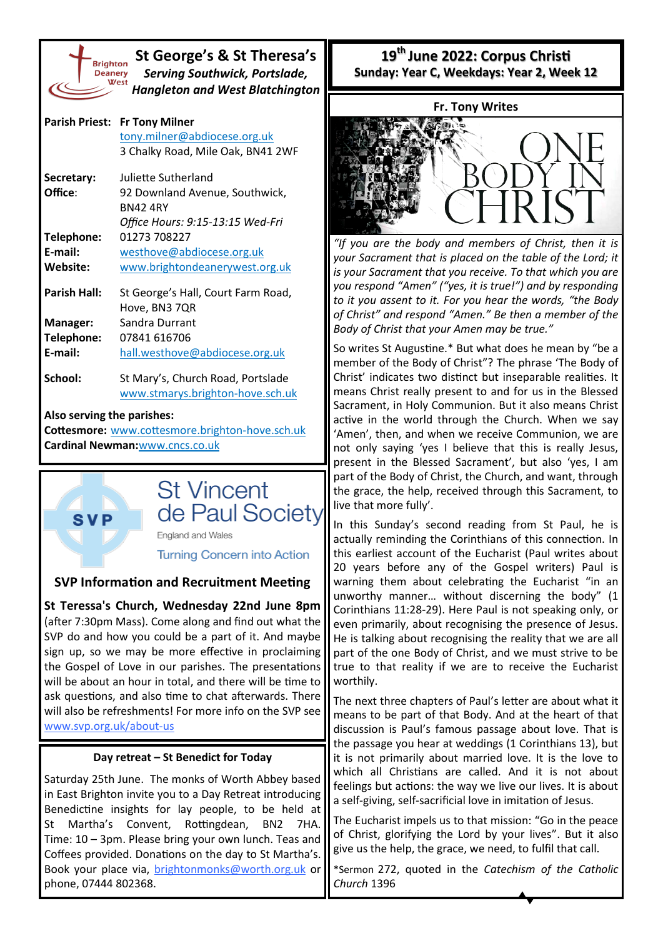

**SVP** 

**St George's & St Theresa's** *Serving Southwick, Portslade, Hangleton and West Blatchington*

| <b>Parish Priest:</b>                           | <b>Fr Tony Milner</b>              |  |  |
|-------------------------------------------------|------------------------------------|--|--|
|                                                 | tony.milner@abdiocese.org.uk       |  |  |
|                                                 | 3 Chalky Road, Mile Oak, BN41 2WF  |  |  |
| Secretary:                                      | Juliette Sutherland                |  |  |
| Office:                                         | 92 Downland Avenue, Southwick,     |  |  |
|                                                 | <b>BN424RY</b>                     |  |  |
|                                                 | Office Hours: 9:15-13:15 Wed-Fri   |  |  |
| Telephone:                                      | 01273 708227                       |  |  |
| F-mail:                                         | westhove@abdiocese.org.uk          |  |  |
| Website:                                        | www.brightondeanerywest.org.uk     |  |  |
| Parish Hall:                                    | St George's Hall, Court Farm Road, |  |  |
|                                                 | Hove, BN3 7QR                      |  |  |
| Manager:                                        | Sandra Durrant                     |  |  |
| Telephone:                                      | 07841 616706                       |  |  |
| E-mail:                                         | hall.westhove@abdiocese.org.uk     |  |  |
| School:                                         | St Mary's, Church Road, Portslade  |  |  |
|                                                 | www.stmarys.brighton-hove.sch.uk   |  |  |
| Also serving the parishes:                      |                                    |  |  |
| Cottesmore: www.cottesmore.brighton-hove.sch.uk |                                    |  |  |
| Cardinal Newman: www.cncs.co.uk                 |                                    |  |  |

# **St Vincent** de Paul Society

England and Wales

**Turning Concern into Action** 

## **SVP Information and Recruitment Meeting**

**St Teressa's Church, Wednesday 22nd June 8pm**  (after 7:30pm Mass). Come along and find out what the SVP do and how you could be a part of it. And maybe sign up, so we may be more effective in proclaiming the Gospel of Love in our parishes. The presentations will be about an hour in total, and there will be time to ask questions, and also time to chat afterwards. There will also be refreshments! For more info on the SVP see [www.svp.org.uk/about](http://www.svp.org.uk/about-us)-us

#### **Day retreat – St Benedict for Today**

Saturday 25th June. The monks of Worth Abbey based in East Brighton invite you to a Day Retreat introducing Benedictine insights for lay people, to be held at St Martha's Convent, Rottingdean, BN2 7HA. Time: 10 – 3pm. Please bring your own lunch. Teas and Coffees provided. Donations on the day to St Martha's. Book your place via, [brightonmonks@worth.org.uk](mailto:brightonmonks@worth.org.uk) or phone, 07444 802368.

**19th June 2022: Corpus Christi Sunday: Year C, Weekdays: Year 2, Week 12**



*"If you are the body and members of Christ, then it is your Sacrament that is placed on the table of the Lord; it is your Sacrament that you receive. To that which you are you respond "Amen" ("yes, it is true!") and by responding to it you assent to it. For you hear the words, "the Body of Christ" and respond "Amen." Be then a member of the Body of Christ that your Amen may be true."*

So writes St Augustine.\* But what does he mean by "be a member of the Body of Christ"? The phrase 'The Body of Christ' indicates two distinct but inseparable realities. It means Christ really present to and for us in the Blessed Sacrament, in Holy Communion. But it also means Christ active in the world through the Church. When we say 'Amen', then, and when we receive Communion, we are not only saying 'yes I believe that this is really Jesus, present in the Blessed Sacrament', but also 'yes, I am part of the Body of Christ, the Church, and want, through the grace, the help, received through this Sacrament, to live that more fully'.

In this Sunday's second reading from St Paul, he is actually reminding the Corinthians of this connection. In this earliest account of the Eucharist (Paul writes about 20 years before any of the Gospel writers) Paul is warning them about celebrating the Eucharist "in an unworthy manner… without discerning the body" (1 Corinthians 11:28-29). Here Paul is not speaking only, or even primarily, about recognising the presence of Jesus. He is talking about recognising the reality that we are all part of the one Body of Christ, and we must strive to be true to that reality if we are to receive the Eucharist worthily.

The next three chapters of Paul's letter are about what it means to be part of that Body. And at the heart of that discussion is Paul's famous passage about love. That is the passage you hear at weddings (1 Corinthians 13), but it is not primarily about married love. It is the love to which all Christians are called. And it is not about feelings but actions: the way we live our lives. It is about a self-giving, self-sacrificial love in imitation of Jesus.

The Eucharist impels us to that mission: "Go in the peace of Christ, glorifying the Lord by your lives". But it also give us the help, the grace, we need, to fulfil that call.

\*Sermon 272, quoted in the *Catechism of the Catholic Church* 1396